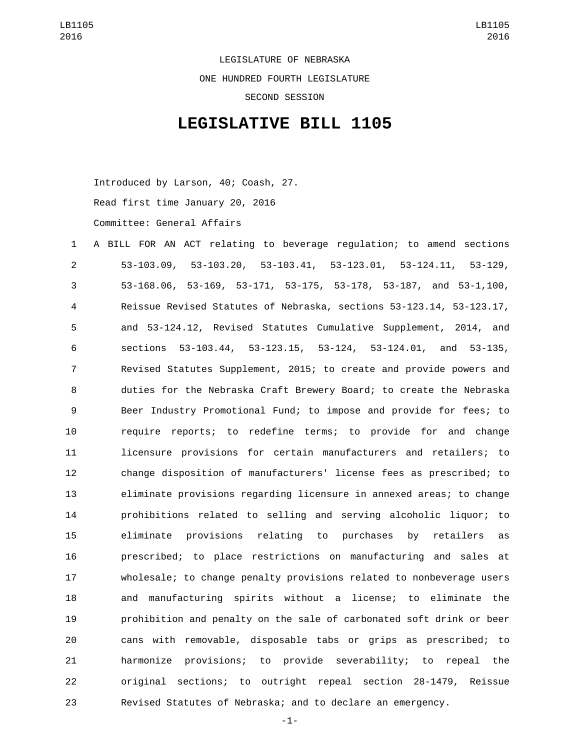LEGISLATURE OF NEBRASKA ONE HUNDRED FOURTH LEGISLATURE SECOND SESSION

## **LEGISLATIVE BILL 1105**

Introduced by Larson, 40; Coash, 27. Read first time January 20, 2016 Committee: General Affairs

- A BILL FOR AN ACT relating to beverage regulation; to amend sections 53-103.09, 53-103.20, 53-103.41, 53-123.01, 53-124.11, 53-129, 53-168.06, 53-169, 53-171, 53-175, 53-178, 53-187, and 53-1,100, Reissue Revised Statutes of Nebraska, sections 53-123.14, 53-123.17, and 53-124.12, Revised Statutes Cumulative Supplement, 2014, and sections 53-103.44, 53-123.15, 53-124, 53-124.01, and 53-135, Revised Statutes Supplement, 2015; to create and provide powers and duties for the Nebraska Craft Brewery Board; to create the Nebraska Beer Industry Promotional Fund; to impose and provide for fees; to require reports; to redefine terms; to provide for and change licensure provisions for certain manufacturers and retailers; to change disposition of manufacturers' license fees as prescribed; to eliminate provisions regarding licensure in annexed areas; to change prohibitions related to selling and serving alcoholic liquor; to eliminate provisions relating to purchases by retailers as prescribed; to place restrictions on manufacturing and sales at wholesale; to change penalty provisions related to nonbeverage users and manufacturing spirits without a license; to eliminate the prohibition and penalty on the sale of carbonated soft drink or beer cans with removable, disposable tabs or grips as prescribed; to harmonize provisions; to provide severability; to repeal the original sections; to outright repeal section 28-1479, Reissue Revised Statutes of Nebraska; and to declare an emergency.
	- -1-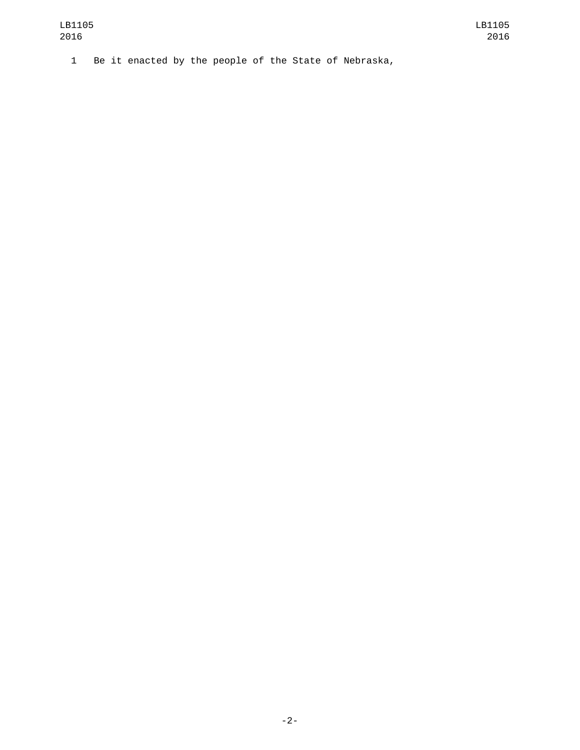1 Be it enacted by the people of the State of Nebraska,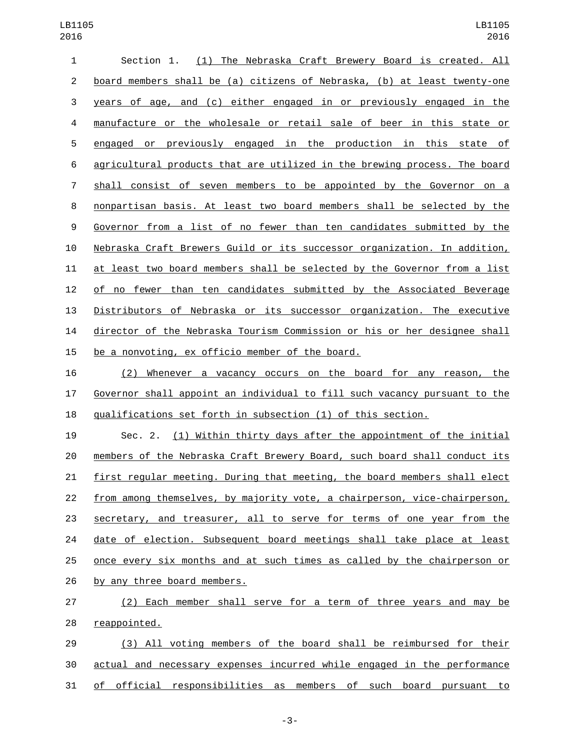| 1  | (1) The Nebraska Craft Brewery Board is created. All<br>Section 1.        |
|----|---------------------------------------------------------------------------|
| 2  | board members shall be (a) citizens of Nebraska, (b) at least twenty-one  |
| 3  | years of age, and (c) either engaged in or previously engaged in the      |
| 4  | manufacture or the wholesale or retail sale of beer in this state or      |
| 5  | engaged or previously engaged in the production in this state of          |
| 6  | agricultural products that are utilized in the brewing process. The board |
| 7  | shall consist of seven members to be appointed by the Governor on a       |
| 8  | nonpartisan basis. At least two board members shall be selected by the    |
| 9  | Governor from a list of no fewer than ten candidates submitted by the     |
| 10 | Nebraska Craft Brewers Guild or its successor organization. In addition,  |
| 11 | at least two board members shall be selected by the Governor from a list  |
| 12 | of no fewer than ten candidates submitted by the Associated Beverage      |
| 13 | Distributors of Nebraska or its successor organization. The executive     |
| 14 | director of the Nebraska Tourism Commission or his or her designee shall  |
| 15 | be a nonvoting, ex officio member of the board.                           |
|    |                                                                           |

 (2) Whenever a vacancy occurs on the board for any reason, the Governor shall appoint an individual to fill such vacancy pursuant to the qualifications set forth in subsection (1) of this section.

 Sec. 2. (1) Within thirty days after the appointment of the initial members of the Nebraska Craft Brewery Board, such board shall conduct its first regular meeting. During that meeting, the board members shall elect from among themselves, by majority vote, a chairperson, vice-chairperson, secretary, and treasurer, all to serve for terms of one year from the 24 date of election. Subsequent board meetings shall take place at least once every six months and at such times as called by the chairperson or 26 by any three board members.

 (2) Each member shall serve for a term of three years and may be 28 reappointed.

 (3) All voting members of the board shall be reimbursed for their actual and necessary expenses incurred while engaged in the performance of official responsibilities as members of such board pursuant to

-3-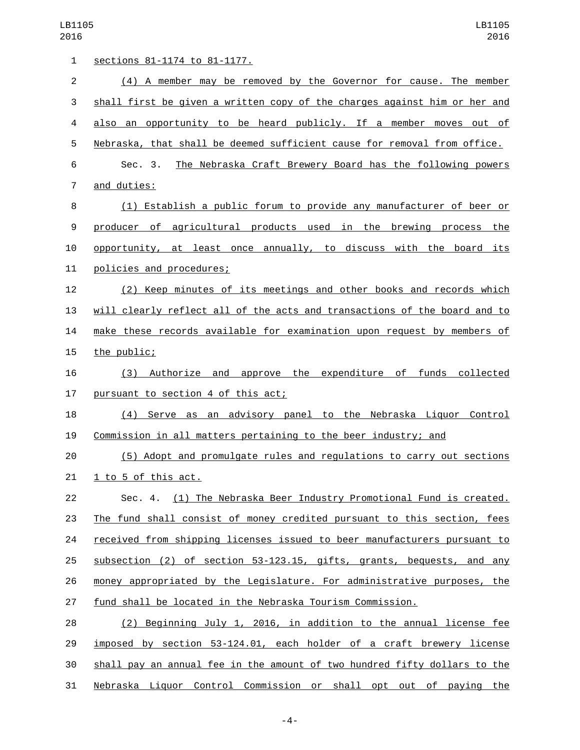| $\mathbf{1}$   | sections 81-1174 to 81-1177.                                              |
|----------------|---------------------------------------------------------------------------|
| $\overline{2}$ | (4) A member may be removed by the Governor for cause. The member         |
| 3              | shall first be given a written copy of the charges against him or her and |
| 4              | also an opportunity to be heard publicly. If a member moves out of        |
| 5              | Nebraska, that shall be deemed sufficient cause for removal from office.  |
| 6              | The Nebraska Craft Brewery Board has the following powers<br>Sec. 3.      |
| 7              | and duties:                                                               |
| 8              | (1) Establish a public forum to provide any manufacturer of beer or       |
| 9              | producer of agricultural products used in the brewing process the         |
| 10             | opportunity, at least once annually, to discuss with the board its        |
| 11             | policies and procedures;                                                  |
| 12             | (2) Keep minutes of its meetings and other books and records which        |
| 13             | will clearly reflect all of the acts and transactions of the board and to |
| 14             | make these records available for examination upon request by members of   |
| 15             | the public;                                                               |
| 16             | (3) Authorize and approve the expenditure of funds collected              |
| 17             | pursuant to section 4 of this act;                                        |
| 18             | (4) Serve as an advisory panel to the Nebraska Liquor Control             |
| 19             | Commission in all matters pertaining to the beer industry; and            |
| 20             | (5) Adopt and promulgate rules and regulations to carry out sections      |
| 21             | 1 to 5 of this act.                                                       |
| 22             | Sec. 4. (1) The Nebraska Beer Industry Promotional Fund is created.       |
| 23             | The fund shall consist of money credited pursuant to this section, fees   |
| 24             | received from shipping licenses issued to beer manufacturers pursuant to  |
| 25             | subsection (2) of section 53-123.15, gifts, grants, bequests, and any     |
| 26             | money appropriated by the Legislature. For administrative purposes, the   |
| 27             | fund shall be located in the Nebraska Tourism Commission.                 |
| 28             | (2) Beginning July 1, 2016, in addition to the annual license fee         |
| 29             | imposed by section 53-124.01, each holder of a craft brewery license      |
| 30             | shall pay an annual fee in the amount of two hundred fifty dollars to the |
| 31             | Nebraska Liquor Control Commission or shall opt out of paying the         |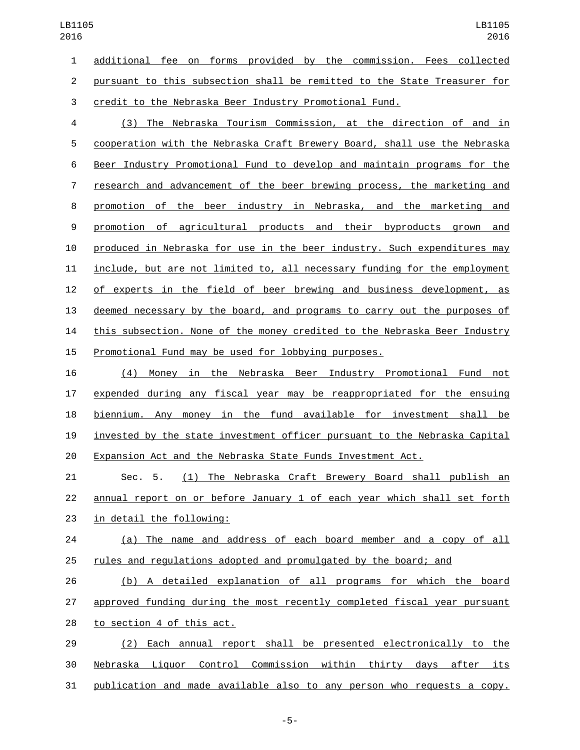additional fee on forms provided by the commission. Fees collected pursuant to this subsection shall be remitted to the State Treasurer for credit to the Nebraska Beer Industry Promotional Fund. (3) The Nebraska Tourism Commission, at the direction of and in cooperation with the Nebraska Craft Brewery Board, shall use the Nebraska Beer Industry Promotional Fund to develop and maintain programs for the research and advancement of the beer brewing process, the marketing and promotion of the beer industry in Nebraska, and the marketing and promotion of agricultural products and their byproducts grown and 10 produced in Nebraska for use in the beer industry. Such expenditures may include, but are not limited to, all necessary funding for the employment of experts in the field of beer brewing and business development, as deemed necessary by the board, and programs to carry out the purposes of this subsection. None of the money credited to the Nebraska Beer Industry

## Promotional Fund may be used for lobbying purposes.

 (4) Money in the Nebraska Beer Industry Promotional Fund not expended during any fiscal year may be reappropriated for the ensuing biennium. Any money in the fund available for investment shall be invested by the state investment officer pursuant to the Nebraska Capital Expansion Act and the Nebraska State Funds Investment Act.

 Sec. 5. (1) The Nebraska Craft Brewery Board shall publish an annual report on or before January 1 of each year which shall set forth 23 in detail the following:

 (a) The name and address of each board member and a copy of all rules and regulations adopted and promulgated by the board; and

 (b) A detailed explanation of all programs for which the board approved funding during the most recently completed fiscal year pursuant 28 to section 4 of this act.

 (2) Each annual report shall be presented electronically to the Nebraska Liquor Control Commission within thirty days after its publication and made available also to any person who requests a copy.

-5-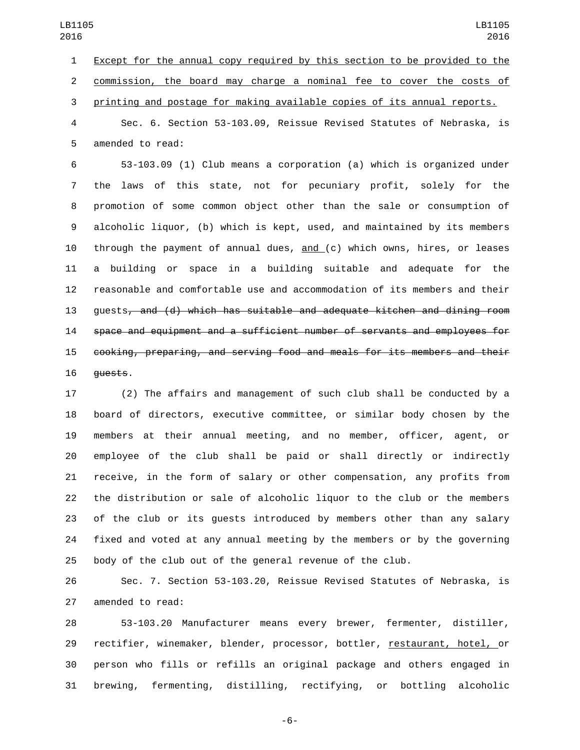Except for the annual copy required by this section to be provided to the commission, the board may charge a nominal fee to cover the costs of printing and postage for making available copies of its annual reports.

 Sec. 6. Section 53-103.09, Reissue Revised Statutes of Nebraska, is 5 amended to read:

 53-103.09 (1) Club means a corporation (a) which is organized under the laws of this state, not for pecuniary profit, solely for the promotion of some common object other than the sale or consumption of alcoholic liquor, (b) which is kept, used, and maintained by its members through the payment of annual dues, and (c) which owns, hires, or leases a building or space in a building suitable and adequate for the reasonable and comfortable use and accommodation of its members and their guests, and (d) which has suitable and adequate kitchen and dining room space and equipment and a sufficient number of servants and employees for cooking, preparing, and serving food and meals for its members and their 16 quests.

 (2) The affairs and management of such club shall be conducted by a board of directors, executive committee, or similar body chosen by the members at their annual meeting, and no member, officer, agent, or employee of the club shall be paid or shall directly or indirectly receive, in the form of salary or other compensation, any profits from the distribution or sale of alcoholic liquor to the club or the members of the club or its guests introduced by members other than any salary fixed and voted at any annual meeting by the members or by the governing body of the club out of the general revenue of the club.

 Sec. 7. Section 53-103.20, Reissue Revised Statutes of Nebraska, is 27 amended to read:

 53-103.20 Manufacturer means every brewer, fermenter, distiller, 29 rectifier, winemaker, blender, processor, bottler, restaurant, hotel, or person who fills or refills an original package and others engaged in brewing, fermenting, distilling, rectifying, or bottling alcoholic

-6-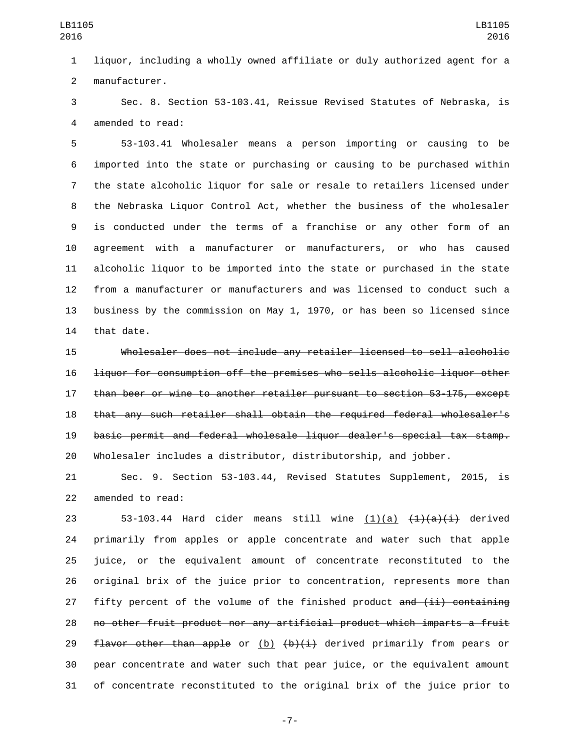liquor, including a wholly owned affiliate or duly authorized agent for a 2 manufacturer.

 Sec. 8. Section 53-103.41, Reissue Revised Statutes of Nebraska, is 4 amended to read:

 53-103.41 Wholesaler means a person importing or causing to be imported into the state or purchasing or causing to be purchased within the state alcoholic liquor for sale or resale to retailers licensed under the Nebraska Liquor Control Act, whether the business of the wholesaler is conducted under the terms of a franchise or any other form of an agreement with a manufacturer or manufacturers, or who has caused alcoholic liquor to be imported into the state or purchased in the state from a manufacturer or manufacturers and was licensed to conduct such a business by the commission on May 1, 1970, or has been so licensed since 14 that date.

 Wholesaler does not include any retailer licensed to sell alcoholic liquor for consumption off the premises who sells alcoholic liquor other than beer or wine to another retailer pursuant to section 53-175, except that any such retailer shall obtain the required federal wholesaler's basic permit and federal wholesale liquor dealer's special tax stamp. Wholesaler includes a distributor, distributorship, and jobber.

 Sec. 9. Section 53-103.44, Revised Statutes Supplement, 2015, is 22 amended to read:

 $53-103.44$  Hard cider means still wine  $(1)(a)$   $(1)(a)(i)$  derived primarily from apples or apple concentrate and water such that apple juice, or the equivalent amount of concentrate reconstituted to the original brix of the juice prior to concentration, represents more than 27 fifty percent of the volume of the finished product  $\frac{1}{1}$  containing no other fruit product nor any artificial product which imparts a fruit 29 flavor other than apple or  $(b)$   $(b)$   $(i)$  derived primarily from pears or pear concentrate and water such that pear juice, or the equivalent amount of concentrate reconstituted to the original brix of the juice prior to

-7-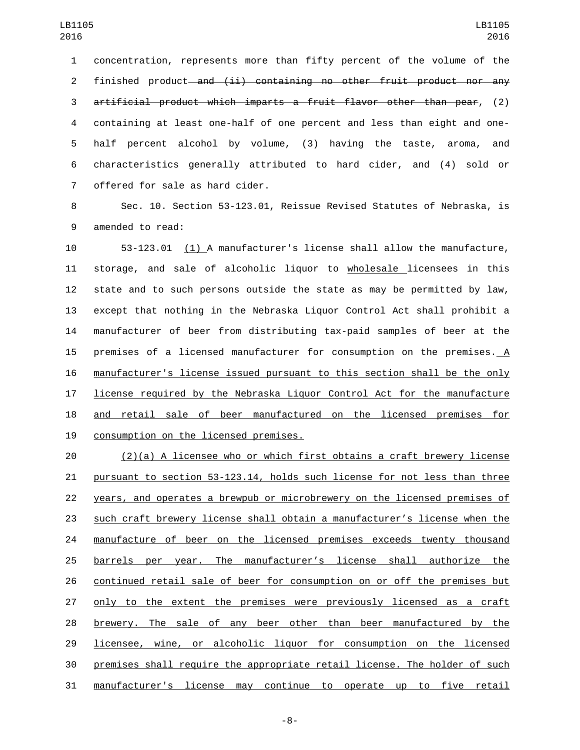concentration, represents more than fifty percent of the volume of the 2 finished product—and (ii) containing no other fruit product nor any artificial product which imparts a fruit flavor other than pear, (2) containing at least one-half of one percent and less than eight and one- half percent alcohol by volume, (3) having the taste, aroma, and characteristics generally attributed to hard cider, and (4) sold or 7 offered for sale as hard cider.

 Sec. 10. Section 53-123.01, Reissue Revised Statutes of Nebraska, is 9 amended to read:

 53-123.01 (1) A manufacturer's license shall allow the manufacture, storage, and sale of alcoholic liquor to wholesale licensees in this state and to such persons outside the state as may be permitted by law, except that nothing in the Nebraska Liquor Control Act shall prohibit a manufacturer of beer from distributing tax-paid samples of beer at the 15 premises of a licensed manufacturer for consumption on the premises. A manufacturer's license issued pursuant to this section shall be the only license required by the Nebraska Liquor Control Act for the manufacture and retail sale of beer manufactured on the licensed premises for 19 consumption on the licensed premises.

 (2)(a) A licensee who or which first obtains a craft brewery license pursuant to section 53-123.14, holds such license for not less than three years, and operates a brewpub or microbrewery on the licensed premises of such craft brewery license shall obtain a manufacturer's license when the manufacture of beer on the licensed premises exceeds twenty thousand barrels per year. The manufacturer's license shall authorize the continued retail sale of beer for consumption on or off the premises but only to the extent the premises were previously licensed as a craft brewery. The sale of any beer other than beer manufactured by the licensee, wine, or alcoholic liquor for consumption on the licensed premises shall require the appropriate retail license. The holder of such manufacturer's license may continue to operate up to five retail

-8-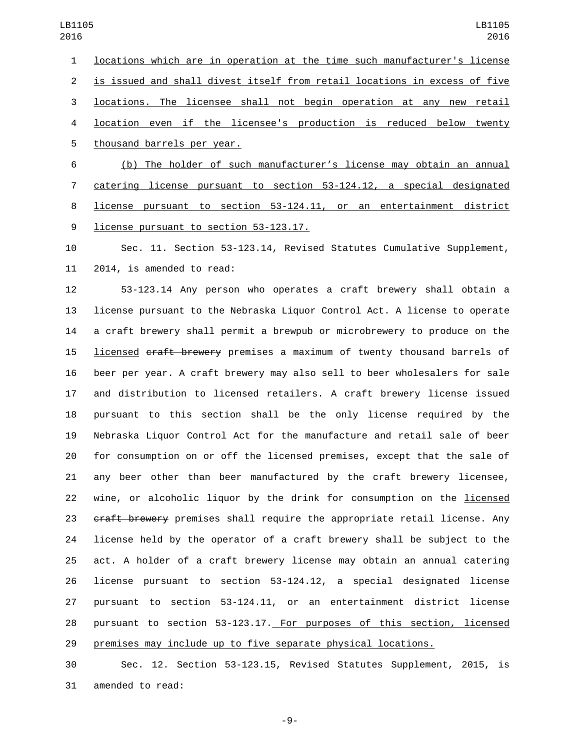locations which are in operation at the time such manufacturer's license is issued and shall divest itself from retail locations in excess of five locations. The licensee shall not begin operation at any new retail location even if the licensee's production is reduced below twenty 5 thousand barrels per year. (b) The holder of such manufacturer's license may obtain an annual catering license pursuant to section 53-124.12, a special designated

 license pursuant to section 53-124.11, or an entertainment district 9 license pursuant to section 53-123.17.

 Sec. 11. Section 53-123.14, Revised Statutes Cumulative Supplement, 11 2014, is amended to read:

 53-123.14 Any person who operates a craft brewery shall obtain a license pursuant to the Nebraska Liquor Control Act. A license to operate a craft brewery shall permit a brewpub or microbrewery to produce on the 15 licensed craft brewery premises a maximum of twenty thousand barrels of beer per year. A craft brewery may also sell to beer wholesalers for sale and distribution to licensed retailers. A craft brewery license issued pursuant to this section shall be the only license required by the Nebraska Liquor Control Act for the manufacture and retail sale of beer for consumption on or off the licensed premises, except that the sale of any beer other than beer manufactured by the craft brewery licensee, wine, or alcoholic liquor by the drink for consumption on the licensed 23 craft brewery premises shall require the appropriate retail license. Any license held by the operator of a craft brewery shall be subject to the act. A holder of a craft brewery license may obtain an annual catering license pursuant to section 53-124.12, a special designated license pursuant to section 53-124.11, or an entertainment district license pursuant to section 53-123.17. For purposes of this section, licensed premises may include up to five separate physical locations.

 Sec. 12. Section 53-123.15, Revised Statutes Supplement, 2015, is 31 amended to read:

-9-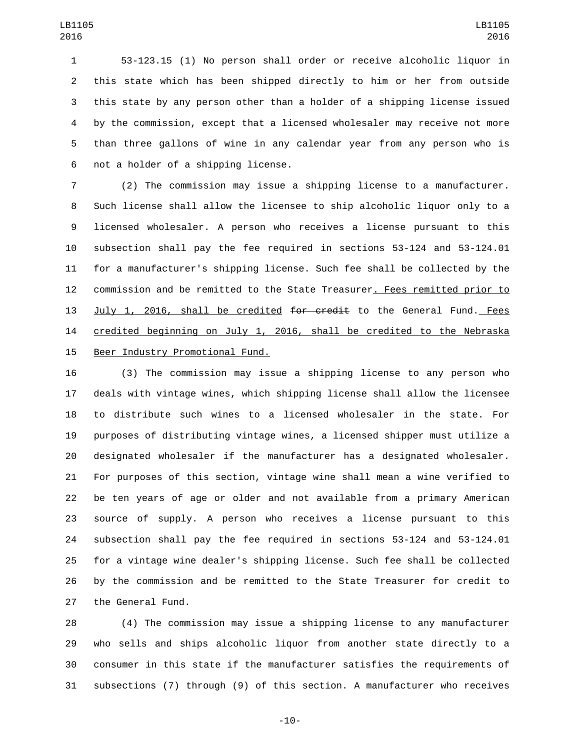53-123.15 (1) No person shall order or receive alcoholic liquor in this state which has been shipped directly to him or her from outside this state by any person other than a holder of a shipping license issued by the commission, except that a licensed wholesaler may receive not more than three gallons of wine in any calendar year from any person who is 6 not a holder of a shipping license.

 (2) The commission may issue a shipping license to a manufacturer. Such license shall allow the licensee to ship alcoholic liquor only to a licensed wholesaler. A person who receives a license pursuant to this subsection shall pay the fee required in sections 53-124 and 53-124.01 for a manufacturer's shipping license. Such fee shall be collected by the commission and be remitted to the State Treasurer. Fees remitted prior to 13 July 1, 2016, shall be credited for credit to the General Fund. Fees credited beginning on July 1, 2016, shall be credited to the Nebraska 15 Beer Industry Promotional Fund.

 (3) The commission may issue a shipping license to any person who deals with vintage wines, which shipping license shall allow the licensee to distribute such wines to a licensed wholesaler in the state. For purposes of distributing vintage wines, a licensed shipper must utilize a designated wholesaler if the manufacturer has a designated wholesaler. For purposes of this section, vintage wine shall mean a wine verified to be ten years of age or older and not available from a primary American source of supply. A person who receives a license pursuant to this subsection shall pay the fee required in sections 53-124 and 53-124.01 for a vintage wine dealer's shipping license. Such fee shall be collected by the commission and be remitted to the State Treasurer for credit to 27 the General Fund.

 (4) The commission may issue a shipping license to any manufacturer who sells and ships alcoholic liquor from another state directly to a consumer in this state if the manufacturer satisfies the requirements of subsections (7) through (9) of this section. A manufacturer who receives

-10-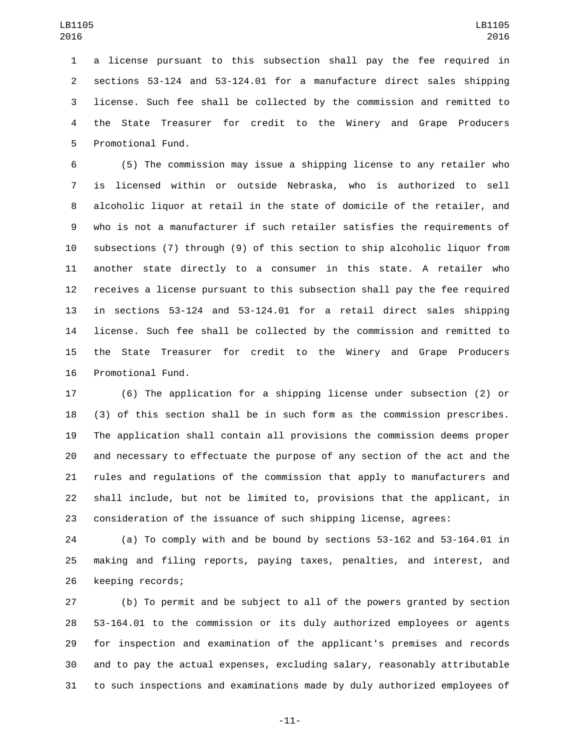a license pursuant to this subsection shall pay the fee required in sections 53-124 and 53-124.01 for a manufacture direct sales shipping license. Such fee shall be collected by the commission and remitted to the State Treasurer for credit to the Winery and Grape Producers 5 Promotional Fund.

 (5) The commission may issue a shipping license to any retailer who is licensed within or outside Nebraska, who is authorized to sell alcoholic liquor at retail in the state of domicile of the retailer, and who is not a manufacturer if such retailer satisfies the requirements of subsections (7) through (9) of this section to ship alcoholic liquor from another state directly to a consumer in this state. A retailer who receives a license pursuant to this subsection shall pay the fee required in sections 53-124 and 53-124.01 for a retail direct sales shipping license. Such fee shall be collected by the commission and remitted to the State Treasurer for credit to the Winery and Grape Producers 16 Promotional Fund.

 (6) The application for a shipping license under subsection (2) or (3) of this section shall be in such form as the commission prescribes. The application shall contain all provisions the commission deems proper and necessary to effectuate the purpose of any section of the act and the rules and regulations of the commission that apply to manufacturers and shall include, but not be limited to, provisions that the applicant, in consideration of the issuance of such shipping license, agrees:

 (a) To comply with and be bound by sections 53-162 and 53-164.01 in making and filing reports, paying taxes, penalties, and interest, and 26 keeping records;

 (b) To permit and be subject to all of the powers granted by section 53-164.01 to the commission or its duly authorized employees or agents for inspection and examination of the applicant's premises and records and to pay the actual expenses, excluding salary, reasonably attributable to such inspections and examinations made by duly authorized employees of

-11-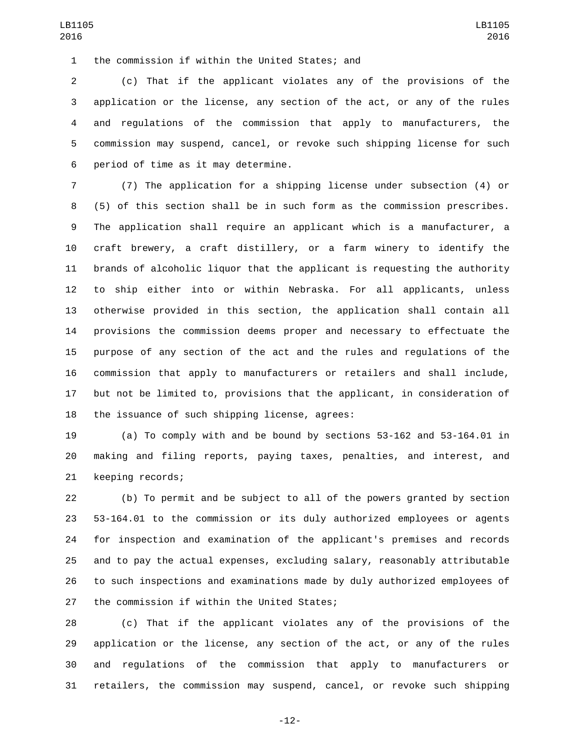1 the commission if within the United States; and

 (c) That if the applicant violates any of the provisions of the application or the license, any section of the act, or any of the rules and regulations of the commission that apply to manufacturers, the commission may suspend, cancel, or revoke such shipping license for such 6 period of time as it may determine.

 (7) The application for a shipping license under subsection (4) or (5) of this section shall be in such form as the commission prescribes. The application shall require an applicant which is a manufacturer, a craft brewery, a craft distillery, or a farm winery to identify the brands of alcoholic liquor that the applicant is requesting the authority to ship either into or within Nebraska. For all applicants, unless otherwise provided in this section, the application shall contain all provisions the commission deems proper and necessary to effectuate the purpose of any section of the act and the rules and regulations of the commission that apply to manufacturers or retailers and shall include, but not be limited to, provisions that the applicant, in consideration of 18 the issuance of such shipping license, agrees:

 (a) To comply with and be bound by sections 53-162 and 53-164.01 in making and filing reports, paying taxes, penalties, and interest, and 21 keeping records;

 (b) To permit and be subject to all of the powers granted by section 53-164.01 to the commission or its duly authorized employees or agents for inspection and examination of the applicant's premises and records and to pay the actual expenses, excluding salary, reasonably attributable to such inspections and examinations made by duly authorized employees of 27 the commission if within the United States;

 (c) That if the applicant violates any of the provisions of the application or the license, any section of the act, or any of the rules and regulations of the commission that apply to manufacturers or retailers, the commission may suspend, cancel, or revoke such shipping

-12-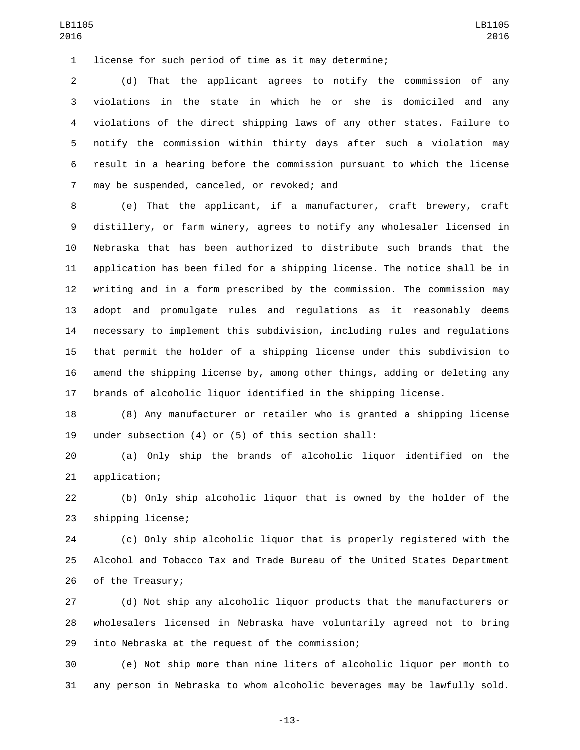license for such period of time as it may determine;

 (d) That the applicant agrees to notify the commission of any violations in the state in which he or she is domiciled and any violations of the direct shipping laws of any other states. Failure to notify the commission within thirty days after such a violation may result in a hearing before the commission pursuant to which the license 7 may be suspended, canceled, or revoked; and

 (e) That the applicant, if a manufacturer, craft brewery, craft distillery, or farm winery, agrees to notify any wholesaler licensed in Nebraska that has been authorized to distribute such brands that the application has been filed for a shipping license. The notice shall be in writing and in a form prescribed by the commission. The commission may adopt and promulgate rules and regulations as it reasonably deems necessary to implement this subdivision, including rules and regulations that permit the holder of a shipping license under this subdivision to amend the shipping license by, among other things, adding or deleting any brands of alcoholic liquor identified in the shipping license.

 (8) Any manufacturer or retailer who is granted a shipping license under subsection (4) or (5) of this section shall:

 (a) Only ship the brands of alcoholic liquor identified on the 21 application;

 (b) Only ship alcoholic liquor that is owned by the holder of the 23 shipping license;

 (c) Only ship alcoholic liquor that is properly registered with the Alcohol and Tobacco Tax and Trade Bureau of the United States Department 26 of the Treasury;

 (d) Not ship any alcoholic liquor products that the manufacturers or wholesalers licensed in Nebraska have voluntarily agreed not to bring 29 into Nebraska at the request of the commission;

 (e) Not ship more than nine liters of alcoholic liquor per month to any person in Nebraska to whom alcoholic beverages may be lawfully sold.

-13-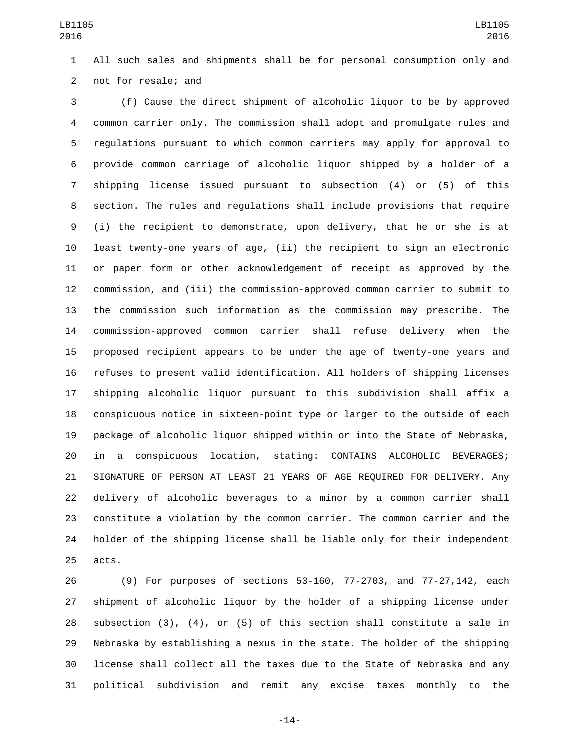All such sales and shipments shall be for personal consumption only and 2 not for resale; and

 (f) Cause the direct shipment of alcoholic liquor to be by approved common carrier only. The commission shall adopt and promulgate rules and regulations pursuant to which common carriers may apply for approval to provide common carriage of alcoholic liquor shipped by a holder of a shipping license issued pursuant to subsection (4) or (5) of this section. The rules and regulations shall include provisions that require (i) the recipient to demonstrate, upon delivery, that he or she is at least twenty-one years of age, (ii) the recipient to sign an electronic or paper form or other acknowledgement of receipt as approved by the commission, and (iii) the commission-approved common carrier to submit to the commission such information as the commission may prescribe. The commission-approved common carrier shall refuse delivery when the proposed recipient appears to be under the age of twenty-one years and refuses to present valid identification. All holders of shipping licenses shipping alcoholic liquor pursuant to this subdivision shall affix a conspicuous notice in sixteen-point type or larger to the outside of each package of alcoholic liquor shipped within or into the State of Nebraska, in a conspicuous location, stating: CONTAINS ALCOHOLIC BEVERAGES; SIGNATURE OF PERSON AT LEAST 21 YEARS OF AGE REQUIRED FOR DELIVERY. Any delivery of alcoholic beverages to a minor by a common carrier shall constitute a violation by the common carrier. The common carrier and the holder of the shipping license shall be liable only for their independent 25 acts.

 (9) For purposes of sections 53-160, 77-2703, and 77-27,142, each shipment of alcoholic liquor by the holder of a shipping license under subsection (3), (4), or (5) of this section shall constitute a sale in Nebraska by establishing a nexus in the state. The holder of the shipping license shall collect all the taxes due to the State of Nebraska and any political subdivision and remit any excise taxes monthly to the

-14-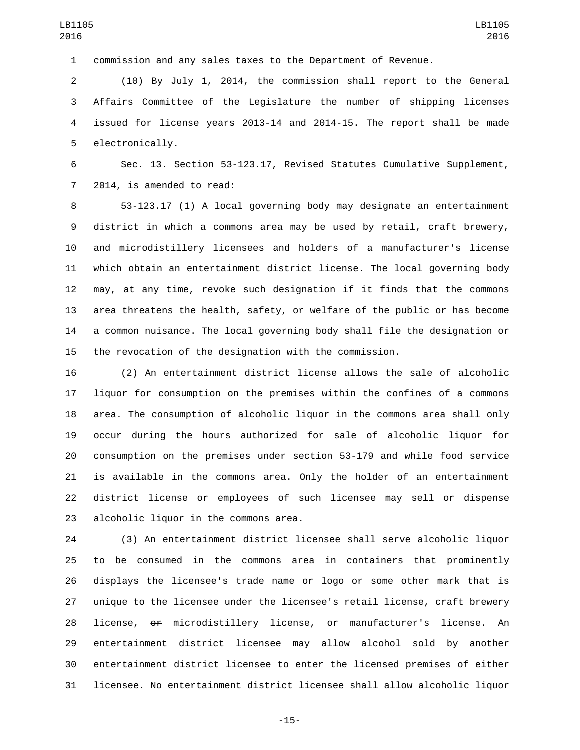commission and any sales taxes to the Department of Revenue.

 (10) By July 1, 2014, the commission shall report to the General Affairs Committee of the Legislature the number of shipping licenses issued for license years 2013-14 and 2014-15. The report shall be made 5 electronically.

 Sec. 13. Section 53-123.17, Revised Statutes Cumulative Supplement, 7 2014, is amended to read:

 53-123.17 (1) A local governing body may designate an entertainment district in which a commons area may be used by retail, craft brewery, and microdistillery licensees and holders of a manufacturer's license which obtain an entertainment district license. The local governing body may, at any time, revoke such designation if it finds that the commons area threatens the health, safety, or welfare of the public or has become a common nuisance. The local governing body shall file the designation or the revocation of the designation with the commission.

 (2) An entertainment district license allows the sale of alcoholic liquor for consumption on the premises within the confines of a commons area. The consumption of alcoholic liquor in the commons area shall only occur during the hours authorized for sale of alcoholic liquor for consumption on the premises under section 53-179 and while food service is available in the commons area. Only the holder of an entertainment district license or employees of such licensee may sell or dispense 23 alcoholic liquor in the commons area.

 (3) An entertainment district licensee shall serve alcoholic liquor to be consumed in the commons area in containers that prominently displays the licensee's trade name or logo or some other mark that is unique to the licensee under the licensee's retail license, craft brewery license, or microdistillery license, or manufacturer's license. An entertainment district licensee may allow alcohol sold by another entertainment district licensee to enter the licensed premises of either licensee. No entertainment district licensee shall allow alcoholic liquor

-15-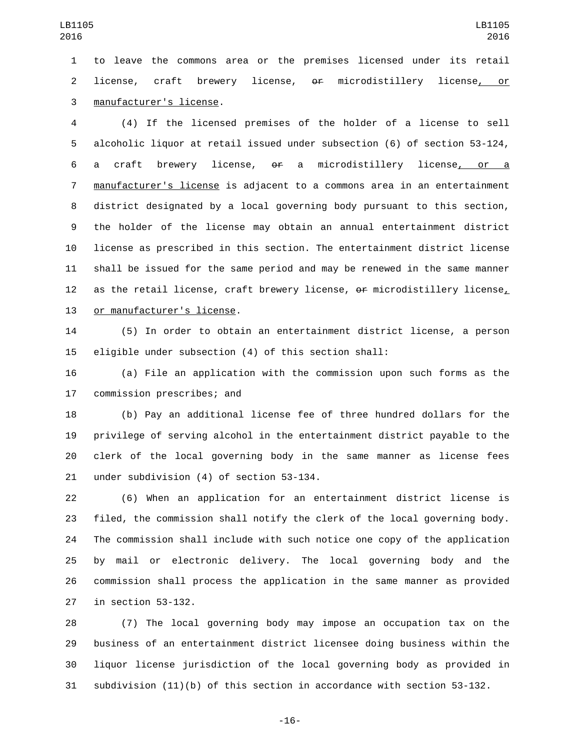to leave the commons area or the premises licensed under its retail license, craft brewery license, or microdistillery license, or manufacturer's license.3

 (4) If the licensed premises of the holder of a license to sell alcoholic liquor at retail issued under subsection (6) of section 53-124, a craft brewery license, or a microdistillery license, or a manufacturer's license is adjacent to a commons area in an entertainment district designated by a local governing body pursuant to this section, the holder of the license may obtain an annual entertainment district license as prescribed in this section. The entertainment district license shall be issued for the same period and may be renewed in the same manner as the retail license, craft brewery license, or microdistillery license, 13 or manufacturer's license.

 (5) In order to obtain an entertainment district license, a person eligible under subsection (4) of this section shall:

 (a) File an application with the commission upon such forms as the 17 commission prescribes; and

 (b) Pay an additional license fee of three hundred dollars for the privilege of serving alcohol in the entertainment district payable to the clerk of the local governing body in the same manner as license fees 21 under subdivision (4) of section 53-134.

 (6) When an application for an entertainment district license is filed, the commission shall notify the clerk of the local governing body. The commission shall include with such notice one copy of the application by mail or electronic delivery. The local governing body and the commission shall process the application in the same manner as provided 27 in section 53-132.

 (7) The local governing body may impose an occupation tax on the business of an entertainment district licensee doing business within the liquor license jurisdiction of the local governing body as provided in subdivision (11)(b) of this section in accordance with section 53-132.

-16-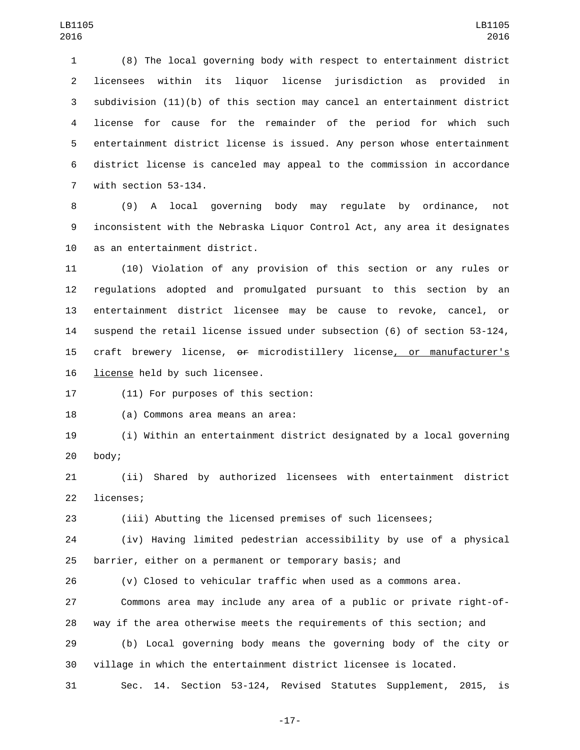(8) The local governing body with respect to entertainment district licensees within its liquor license jurisdiction as provided in subdivision (11)(b) of this section may cancel an entertainment district license for cause for the remainder of the period for which such entertainment district license is issued. Any person whose entertainment district license is canceled may appeal to the commission in accordance 7 with section 53-134.

 (9) A local governing body may regulate by ordinance, not inconsistent with the Nebraska Liquor Control Act, any area it designates 10 as an entertainment district.

 (10) Violation of any provision of this section or any rules or regulations adopted and promulgated pursuant to this section by an entertainment district licensee may be cause to revoke, cancel, or suspend the retail license issued under subsection (6) of section 53-124, craft brewery license, or microdistillery license, or manufacturer's 16 license held by such licensee.

17 (11) For purposes of this section:

18 (a) Commons area means an area:

 (i) Within an entertainment district designated by a local governing 20 body;

 (ii) Shared by authorized licensees with entertainment district 22 licenses;

(iii) Abutting the licensed premises of such licensees;

 (iv) Having limited pedestrian accessibility by use of a physical barrier, either on a permanent or temporary basis; and

(v) Closed to vehicular traffic when used as a commons area.

 Commons area may include any area of a public or private right-of-way if the area otherwise meets the requirements of this section; and

 (b) Local governing body means the governing body of the city or village in which the entertainment district licensee is located.

Sec. 14. Section 53-124, Revised Statutes Supplement, 2015, is

-17-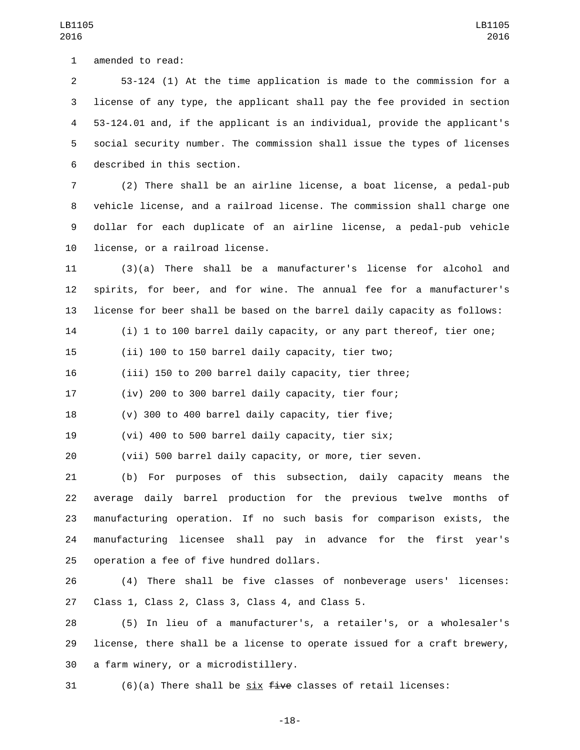1 amended to read:

 53-124 (1) At the time application is made to the commission for a license of any type, the applicant shall pay the fee provided in section 53-124.01 and, if the applicant is an individual, provide the applicant's social security number. The commission shall issue the types of licenses

LB1105 

6 described in this section.

 (2) There shall be an airline license, a boat license, a pedal-pub vehicle license, and a railroad license. The commission shall charge one dollar for each duplicate of an airline license, a pedal-pub vehicle 10 license, or a railroad license.

 (3)(a) There shall be a manufacturer's license for alcohol and spirits, for beer, and for wine. The annual fee for a manufacturer's license for beer shall be based on the barrel daily capacity as follows:

(i) 1 to 100 barrel daily capacity, or any part thereof, tier one;

(ii) 100 to 150 barrel daily capacity, tier two;

(iii) 150 to 200 barrel daily capacity, tier three;

(iv) 200 to 300 barrel daily capacity, tier four;

(v) 300 to 400 barrel daily capacity, tier five;

(vi) 400 to 500 barrel daily capacity, tier six;

(vii) 500 barrel daily capacity, or more, tier seven.

 (b) For purposes of this subsection, daily capacity means the average daily barrel production for the previous twelve months of manufacturing operation. If no such basis for comparison exists, the manufacturing licensee shall pay in advance for the first year's 25 operation a fee of five hundred dollars.

 (4) There shall be five classes of nonbeverage users' licenses: 27 Class 1, Class 2, Class 3, Class 4, and Class 5.

 (5) In lieu of a manufacturer's, a retailer's, or a wholesaler's license, there shall be a license to operate issued for a craft brewery, 30 a farm winery, or a microdistillery.

31  $(6)(a)$  There shall be six  $f$ ive classes of retail licenses: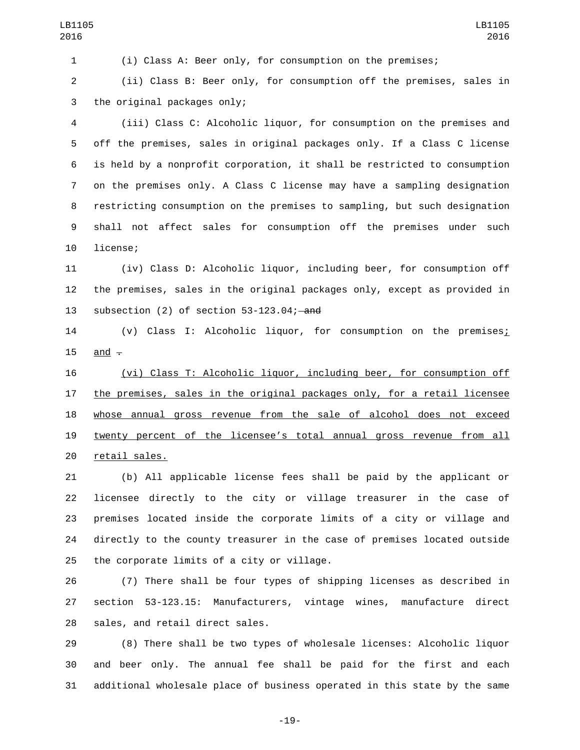(i) Class A: Beer only, for consumption on the premises;

 (ii) Class B: Beer only, for consumption off the premises, sales in 3 the original packages only;

 (iii) Class C: Alcoholic liquor, for consumption on the premises and off the premises, sales in original packages only. If a Class C license is held by a nonprofit corporation, it shall be restricted to consumption on the premises only. A Class C license may have a sampling designation restricting consumption on the premises to sampling, but such designation shall not affect sales for consumption off the premises under such 10 license;

 (iv) Class D: Alcoholic liquor, including beer, for consumption off the premises, sales in the original packages only, except as provided in 13 subsection (2) of section 53-123.04; and

 (v) Class I: Alcoholic liquor, for consumption on the premises; 15 and  $-$ 

 (vi) Class T: Alcoholic liquor, including beer, for consumption off 17 the premises, sales in the original packages only, for a retail licensee 18 whose annual gross revenue from the sale of alcohol does not exceed twenty percent of the licensee's total annual gross revenue from all 20 retail sales.

 (b) All applicable license fees shall be paid by the applicant or licensee directly to the city or village treasurer in the case of premises located inside the corporate limits of a city or village and directly to the county treasurer in the case of premises located outside 25 the corporate limits of a city or village.

 (7) There shall be four types of shipping licenses as described in section 53-123.15: Manufacturers, vintage wines, manufacture direct 28 sales, and retail direct sales.

 (8) There shall be two types of wholesale licenses: Alcoholic liquor and beer only. The annual fee shall be paid for the first and each additional wholesale place of business operated in this state by the same

-19-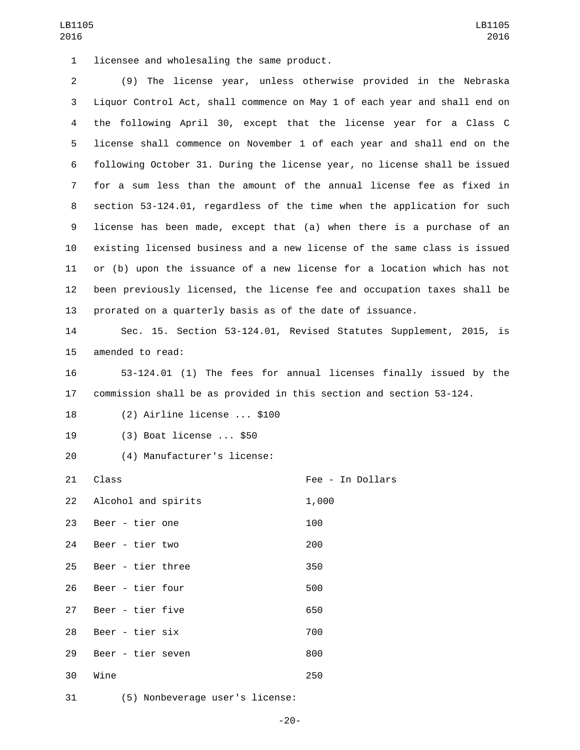1 licensee and wholesaling the same product.

 (9) The license year, unless otherwise provided in the Nebraska Liquor Control Act, shall commence on May 1 of each year and shall end on the following April 30, except that the license year for a Class C license shall commence on November 1 of each year and shall end on the following October 31. During the license year, no license shall be issued for a sum less than the amount of the annual license fee as fixed in section 53-124.01, regardless of the time when the application for such license has been made, except that (a) when there is a purchase of an existing licensed business and a new license of the same class is issued or (b) upon the issuance of a new license for a location which has not been previously licensed, the license fee and occupation taxes shall be prorated on a quarterly basis as of the date of issuance.

14 Sec. 15. Section 53-124.01, Revised Statutes Supplement, 2015, is 15 amended to read:

16 53-124.01 (1) The fees for annual licenses finally issued by the 17 commission shall be as provided in this section and section 53-124.

18 (2) Airline license ... \$100

- 19 (3) Boat license ... \$50
- (4) Manufacturer's license:20

21 Class **Fee** - In Dollars

|    | 22 Alcohol and spirits | 1,000 |
|----|------------------------|-------|
| 23 | Beer - tier one        | 100   |
| 24 | Beer - tier two        | 200   |
|    | 25 Beer - tier three   | 350   |
|    | 26 Beer - tier four    | 500   |
|    | 27 Beer - tier five    | 650   |
| 28 | Beer - tier six        | 700   |
| 29 | Beer - tier seven      | 800   |
| 30 | Wine                   | 250   |

31 (5) Nonbeverage user's license: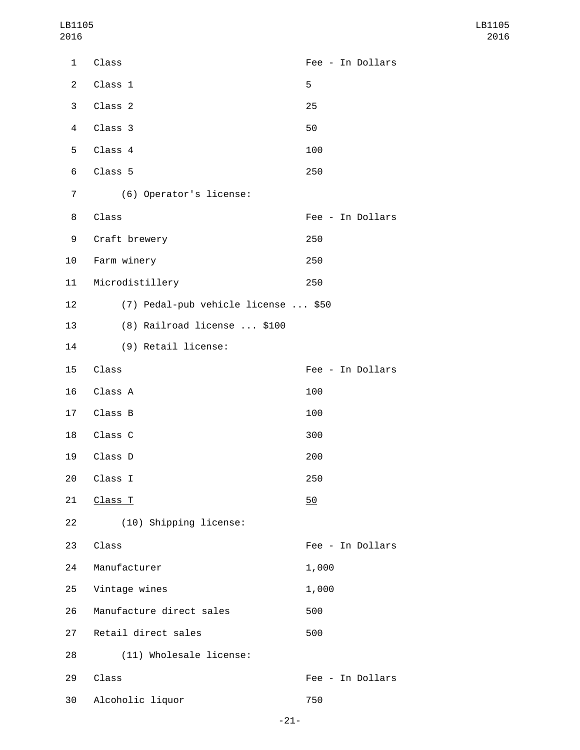| $\mathbf{1}$   | Class                               | Fee - In Dollars |
|----------------|-------------------------------------|------------------|
| $\overline{2}$ | Class 1                             | 5                |
| 3              | Class 2                             | 25               |
| $\overline{4}$ | Class 3                             | 50               |
| 5              | Class 4                             | 100              |
| 6              | Class 5                             | 250              |
| 7              | (6) Operator's license:             |                  |
| 8              | Class                               | Fee - In Dollars |
| 9              | Craft brewery                       | 250              |
| 10             | Farm winery                         | 250              |
| 11             | Microdistillery                     | 250              |
| 12             | (7) Pedal-pub vehicle license  \$50 |                  |
| 13             | (8) Railroad license  \$100         |                  |
| 14             | (9) Retail license:                 |                  |
| 15             | Class                               | Fee - In Dollars |
| 16             | Class A                             | 100              |
| 17             | Class B                             | 100              |
| 18             | Class C                             | 300              |
| 19             | Class D                             | 200              |
| 20             | Class I                             | 250              |
| 21             | Class T                             | 50               |
| 22             | (10) Shipping license:              |                  |
| 23             | Class                               | Fee - In Dollars |
| 24             | Manufacturer                        | 1,000            |
| 25             | Vintage wines                       | 1,000            |
| 26             | Manufacture direct sales            | 500              |
| 27             | Retail direct sales                 | 500              |
| 28             | (11) Wholesale license:             |                  |
| 29             | Class                               | Fee - In Dollars |
| 30             | Alcoholic liquor                    | 750              |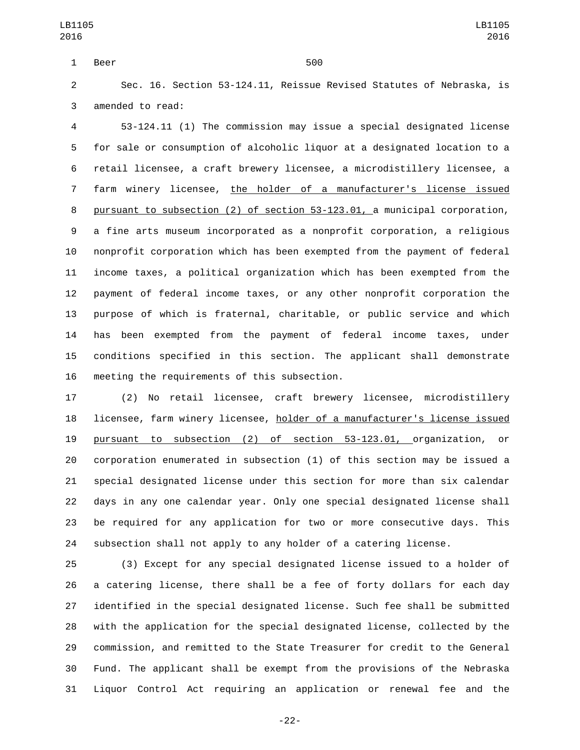1 Beer 500

 Sec. 16. Section 53-124.11, Reissue Revised Statutes of Nebraska, is 3 amended to read:

 53-124.11 (1) The commission may issue a special designated license for sale or consumption of alcoholic liquor at a designated location to a retail licensee, a craft brewery licensee, a microdistillery licensee, a farm winery licensee, the holder of a manufacturer's license issued pursuant to subsection (2) of section 53-123.01, a municipal corporation, a fine arts museum incorporated as a nonprofit corporation, a religious nonprofit corporation which has been exempted from the payment of federal income taxes, a political organization which has been exempted from the payment of federal income taxes, or any other nonprofit corporation the purpose of which is fraternal, charitable, or public service and which has been exempted from the payment of federal income taxes, under conditions specified in this section. The applicant shall demonstrate 16 meeting the requirements of this subsection.

 (2) No retail licensee, craft brewery licensee, microdistillery licensee, farm winery licensee, holder of a manufacturer's license issued pursuant to subsection (2) of section 53-123.01, organization, or corporation enumerated in subsection (1) of this section may be issued a special designated license under this section for more than six calendar days in any one calendar year. Only one special designated license shall be required for any application for two or more consecutive days. This subsection shall not apply to any holder of a catering license.

 (3) Except for any special designated license issued to a holder of a catering license, there shall be a fee of forty dollars for each day identified in the special designated license. Such fee shall be submitted with the application for the special designated license, collected by the commission, and remitted to the State Treasurer for credit to the General Fund. The applicant shall be exempt from the provisions of the Nebraska Liquor Control Act requiring an application or renewal fee and the

-22-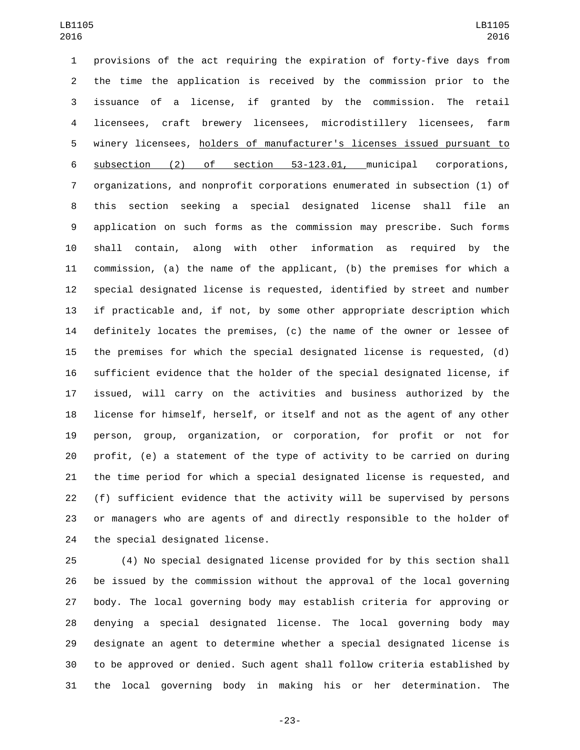provisions of the act requiring the expiration of forty-five days from the time the application is received by the commission prior to the issuance of a license, if granted by the commission. The retail licensees, craft brewery licensees, microdistillery licensees, farm winery licensees, holders of manufacturer's licenses issued pursuant to subsection (2) of section 53-123.01, municipal corporations, organizations, and nonprofit corporations enumerated in subsection (1) of this section seeking a special designated license shall file an application on such forms as the commission may prescribe. Such forms shall contain, along with other information as required by the commission, (a) the name of the applicant, (b) the premises for which a special designated license is requested, identified by street and number if practicable and, if not, by some other appropriate description which definitely locates the premises, (c) the name of the owner or lessee of the premises for which the special designated license is requested, (d) sufficient evidence that the holder of the special designated license, if issued, will carry on the activities and business authorized by the license for himself, herself, or itself and not as the agent of any other person, group, organization, or corporation, for profit or not for profit, (e) a statement of the type of activity to be carried on during the time period for which a special designated license is requested, and (f) sufficient evidence that the activity will be supervised by persons or managers who are agents of and directly responsible to the holder of 24 the special designated license.

 (4) No special designated license provided for by this section shall be issued by the commission without the approval of the local governing body. The local governing body may establish criteria for approving or denying a special designated license. The local governing body may designate an agent to determine whether a special designated license is to be approved or denied. Such agent shall follow criteria established by the local governing body in making his or her determination. The

-23-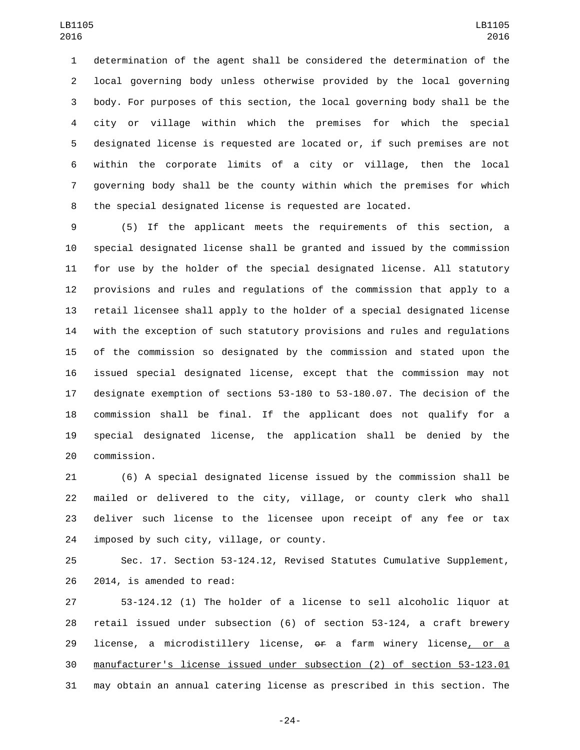determination of the agent shall be considered the determination of the local governing body unless otherwise provided by the local governing body. For purposes of this section, the local governing body shall be the city or village within which the premises for which the special designated license is requested are located or, if such premises are not within the corporate limits of a city or village, then the local governing body shall be the county within which the premises for which the special designated license is requested are located.

 (5) If the applicant meets the requirements of this section, a special designated license shall be granted and issued by the commission for use by the holder of the special designated license. All statutory provisions and rules and regulations of the commission that apply to a retail licensee shall apply to the holder of a special designated license with the exception of such statutory provisions and rules and regulations of the commission so designated by the commission and stated upon the issued special designated license, except that the commission may not designate exemption of sections 53-180 to 53-180.07. The decision of the commission shall be final. If the applicant does not qualify for a special designated license, the application shall be denied by the 20 commission.

 (6) A special designated license issued by the commission shall be mailed or delivered to the city, village, or county clerk who shall deliver such license to the licensee upon receipt of any fee or tax 24 imposed by such city, village, or county.

 Sec. 17. Section 53-124.12, Revised Statutes Cumulative Supplement, 26 2014, is amended to read:

 53-124.12 (1) The holder of a license to sell alcoholic liquor at retail issued under subsection (6) of section 53-124, a craft brewery 29 license, a microdistillery license, or a farm winery license, or a manufacturer's license issued under subsection (2) of section 53-123.01 may obtain an annual catering license as prescribed in this section. The

-24-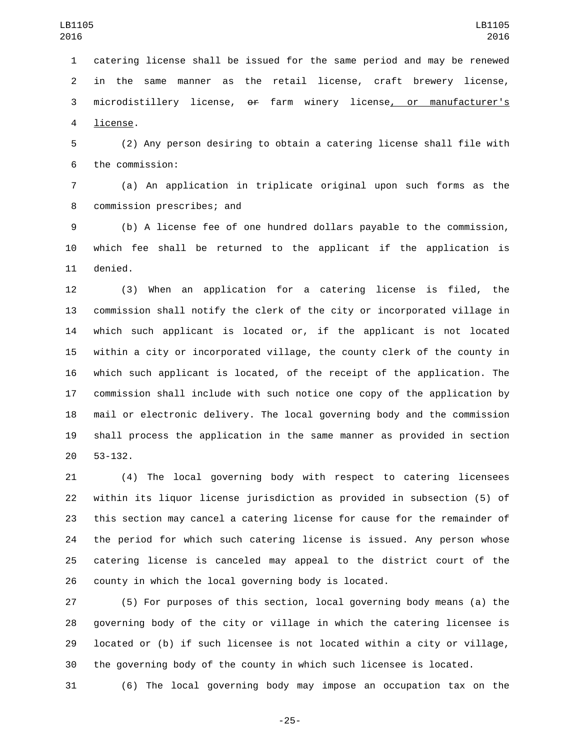catering license shall be issued for the same period and may be renewed in the same manner as the retail license, craft brewery license, 3 microdistillery license, or farm winery license, or manufacturer's 4 license.

 (2) Any person desiring to obtain a catering license shall file with the commission:6

 (a) An application in triplicate original upon such forms as the 8 commission prescribes; and

 (b) A license fee of one hundred dollars payable to the commission, which fee shall be returned to the applicant if the application is 11 denied.

 (3) When an application for a catering license is filed, the commission shall notify the clerk of the city or incorporated village in which such applicant is located or, if the applicant is not located within a city or incorporated village, the county clerk of the county in which such applicant is located, of the receipt of the application. The commission shall include with such notice one copy of the application by mail or electronic delivery. The local governing body and the commission shall process the application in the same manner as provided in section 20 53-132.

 (4) The local governing body with respect to catering licensees within its liquor license jurisdiction as provided in subsection (5) of this section may cancel a catering license for cause for the remainder of the period for which such catering license is issued. Any person whose catering license is canceled may appeal to the district court of the county in which the local governing body is located.

 (5) For purposes of this section, local governing body means (a) the governing body of the city or village in which the catering licensee is located or (b) if such licensee is not located within a city or village, the governing body of the county in which such licensee is located.

(6) The local governing body may impose an occupation tax on the

-25-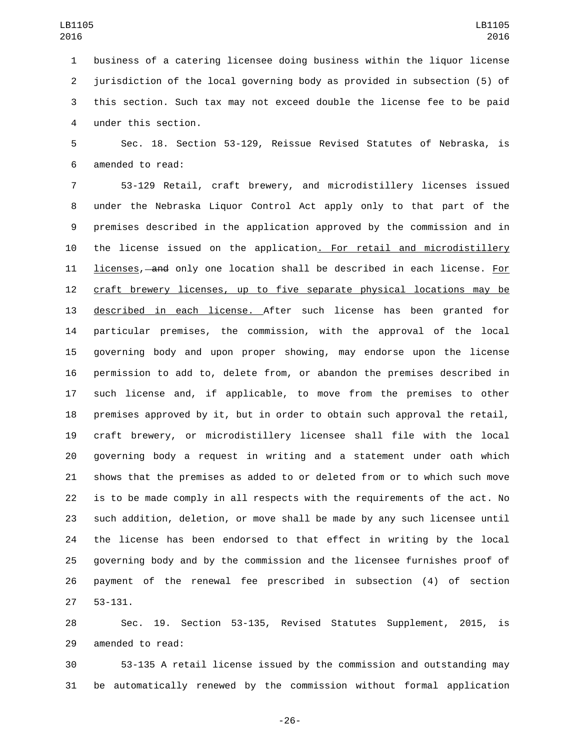business of a catering licensee doing business within the liquor license jurisdiction of the local governing body as provided in subsection (5) of this section. Such tax may not exceed double the license fee to be paid under this section.4

 Sec. 18. Section 53-129, Reissue Revised Statutes of Nebraska, is 6 amended to read:

 53-129 Retail, craft brewery, and microdistillery licenses issued under the Nebraska Liquor Control Act apply only to that part of the premises described in the application approved by the commission and in the license issued on the application. For retail and microdistillery licenses, and only one location shall be described in each license. For craft brewery licenses, up to five separate physical locations may be described in each license. After such license has been granted for particular premises, the commission, with the approval of the local governing body and upon proper showing, may endorse upon the license permission to add to, delete from, or abandon the premises described in such license and, if applicable, to move from the premises to other premises approved by it, but in order to obtain such approval the retail, craft brewery, or microdistillery licensee shall file with the local governing body a request in writing and a statement under oath which shows that the premises as added to or deleted from or to which such move is to be made comply in all respects with the requirements of the act. No such addition, deletion, or move shall be made by any such licensee until the license has been endorsed to that effect in writing by the local governing body and by the commission and the licensee furnishes proof of payment of the renewal fee prescribed in subsection (4) of section 27 53-131.

 Sec. 19. Section 53-135, Revised Statutes Supplement, 2015, is 29 amended to read:

 53-135 A retail license issued by the commission and outstanding may be automatically renewed by the commission without formal application

-26-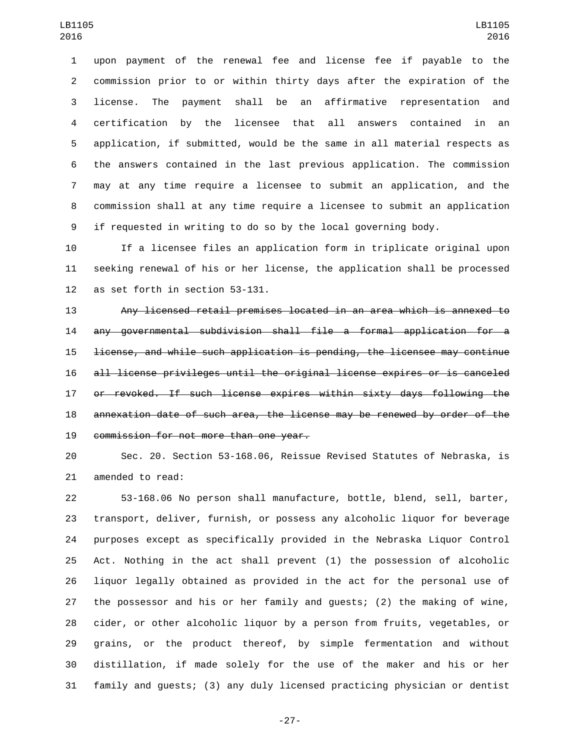upon payment of the renewal fee and license fee if payable to the commission prior to or within thirty days after the expiration of the license. The payment shall be an affirmative representation and certification by the licensee that all answers contained in an application, if submitted, would be the same in all material respects as the answers contained in the last previous application. The commission may at any time require a licensee to submit an application, and the commission shall at any time require a licensee to submit an application if requested in writing to do so by the local governing body.

 If a licensee files an application form in triplicate original upon seeking renewal of his or her license, the application shall be processed 12 as set forth in section 53-131.

 Any licensed retail premises located in an area which is annexed to any governmental subdivision shall file a formal application for a license, and while such application is pending, the licensee may continue all license privileges until the original license expires or is canceled or revoked. If such license expires within sixty days following the annexation date of such area, the license may be renewed by order of the 19 commission for not more than one year.

 Sec. 20. Section 53-168.06, Reissue Revised Statutes of Nebraska, is 21 amended to read:

 53-168.06 No person shall manufacture, bottle, blend, sell, barter, transport, deliver, furnish, or possess any alcoholic liquor for beverage purposes except as specifically provided in the Nebraska Liquor Control Act. Nothing in the act shall prevent (1) the possession of alcoholic liquor legally obtained as provided in the act for the personal use of the possessor and his or her family and guests; (2) the making of wine, cider, or other alcoholic liquor by a person from fruits, vegetables, or grains, or the product thereof, by simple fermentation and without distillation, if made solely for the use of the maker and his or her family and guests; (3) any duly licensed practicing physician or dentist

-27-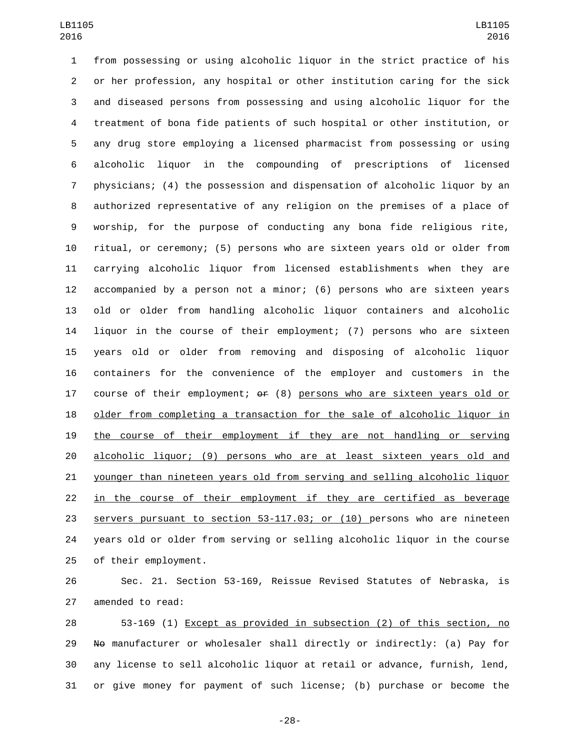from possessing or using alcoholic liquor in the strict practice of his or her profession, any hospital or other institution caring for the sick and diseased persons from possessing and using alcoholic liquor for the treatment of bona fide patients of such hospital or other institution, or any drug store employing a licensed pharmacist from possessing or using alcoholic liquor in the compounding of prescriptions of licensed physicians; (4) the possession and dispensation of alcoholic liquor by an authorized representative of any religion on the premises of a place of worship, for the purpose of conducting any bona fide religious rite, ritual, or ceremony; (5) persons who are sixteen years old or older from carrying alcoholic liquor from licensed establishments when they are accompanied by a person not a minor; (6) persons who are sixteen years old or older from handling alcoholic liquor containers and alcoholic liquor in the course of their employment; (7) persons who are sixteen years old or older from removing and disposing of alcoholic liquor containers for the convenience of the employer and customers in the 17 course of their employment;  $\theta$  (8) persons who are sixteen years old or older from completing a transaction for the sale of alcoholic liquor in the course of their employment if they are not handling or serving alcoholic liquor; (9) persons who are at least sixteen years old and younger than nineteen years old from serving and selling alcoholic liquor in the course of their employment if they are certified as beverage servers pursuant to section 53-117.03; or (10) persons who are nineteen years old or older from serving or selling alcoholic liquor in the course 25 of their employment.

 Sec. 21. Section 53-169, Reissue Revised Statutes of Nebraska, is 27 amended to read:

 53-169 (1) Except as provided in subsection (2) of this section, no 29 No manufacturer or wholesaler shall directly or indirectly: (a) Pay for any license to sell alcoholic liquor at retail or advance, furnish, lend, or give money for payment of such license; (b) purchase or become the

-28-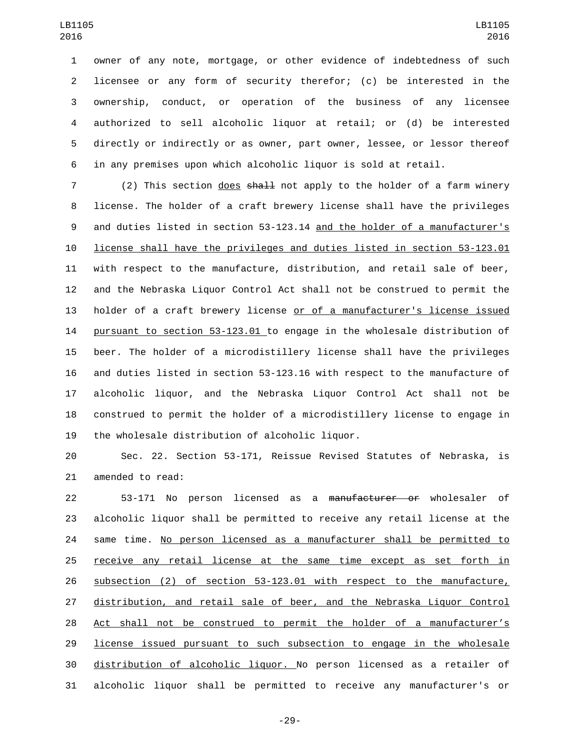owner of any note, mortgage, or other evidence of indebtedness of such licensee or any form of security therefor; (c) be interested in the ownership, conduct, or operation of the business of any licensee authorized to sell alcoholic liquor at retail; or (d) be interested directly or indirectly or as owner, part owner, lessee, or lessor thereof in any premises upon which alcoholic liquor is sold at retail.

7 (2) This section does shall not apply to the holder of a farm winery license. The holder of a craft brewery license shall have the privileges and duties listed in section 53-123.14 and the holder of a manufacturer's license shall have the privileges and duties listed in section 53-123.01 with respect to the manufacture, distribution, and retail sale of beer, and the Nebraska Liquor Control Act shall not be construed to permit the holder of a craft brewery license or of a manufacturer's license issued pursuant to section 53-123.01 to engage in the wholesale distribution of beer. The holder of a microdistillery license shall have the privileges and duties listed in section 53-123.16 with respect to the manufacture of alcoholic liquor, and the Nebraska Liquor Control Act shall not be construed to permit the holder of a microdistillery license to engage in 19 the wholesale distribution of alcoholic liquor.

 Sec. 22. Section 53-171, Reissue Revised Statutes of Nebraska, is 21 amended to read:

 53-171 No person licensed as a manufacturer or wholesaler of alcoholic liquor shall be permitted to receive any retail license at the 24 same time. No person licensed as a manufacturer shall be permitted to receive any retail license at the same time except as set forth in subsection (2) of section 53-123.01 with respect to the manufacture, distribution, and retail sale of beer, and the Nebraska Liquor Control Act shall not be construed to permit the holder of a manufacturer's license issued pursuant to such subsection to engage in the wholesale distribution of alcoholic liquor. No person licensed as a retailer of alcoholic liquor shall be permitted to receive any manufacturer's or

-29-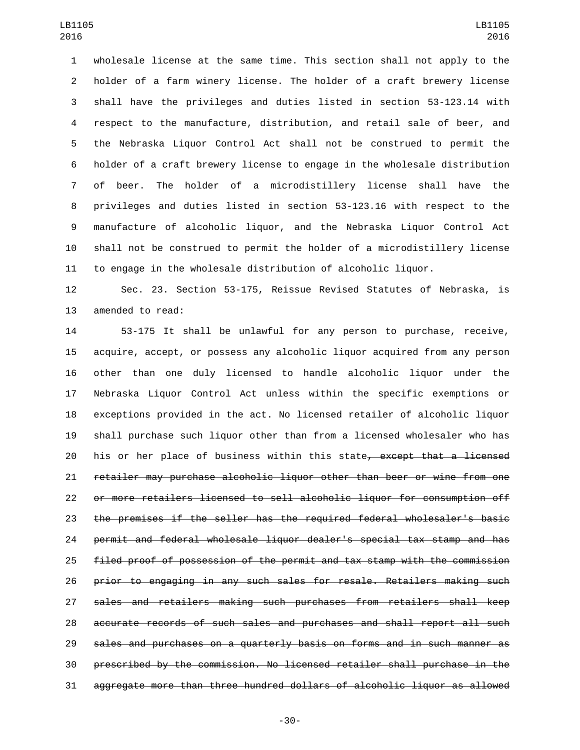wholesale license at the same time. This section shall not apply to the holder of a farm winery license. The holder of a craft brewery license shall have the privileges and duties listed in section 53-123.14 with respect to the manufacture, distribution, and retail sale of beer, and the Nebraska Liquor Control Act shall not be construed to permit the holder of a craft brewery license to engage in the wholesale distribution of beer. The holder of a microdistillery license shall have the privileges and duties listed in section 53-123.16 with respect to the manufacture of alcoholic liquor, and the Nebraska Liquor Control Act shall not be construed to permit the holder of a microdistillery license to engage in the wholesale distribution of alcoholic liquor.

 Sec. 23. Section 53-175, Reissue Revised Statutes of Nebraska, is 13 amended to read:

 53-175 It shall be unlawful for any person to purchase, receive, acquire, accept, or possess any alcoholic liquor acquired from any person other than one duly licensed to handle alcoholic liquor under the Nebraska Liquor Control Act unless within the specific exemptions or exceptions provided in the act. No licensed retailer of alcoholic liquor shall purchase such liquor other than from a licensed wholesaler who has 20 his or her place of business within this state<del>, except that a licensed</del> retailer may purchase alcoholic liquor other than beer or wine from one or more retailers licensed to sell alcoholic liquor for consumption off the premises if the seller has the required federal wholesaler's basic permit and federal wholesale liquor dealer's special tax stamp and has filed proof of possession of the permit and tax stamp with the commission prior to engaging in any such sales for resale. Retailers making such sales and retailers making such purchases from retailers shall keep accurate records of such sales and purchases and shall report all such sales and purchases on a quarterly basis on forms and in such manner as prescribed by the commission. No licensed retailer shall purchase in the aggregate more than three hundred dollars of alcoholic liquor as allowed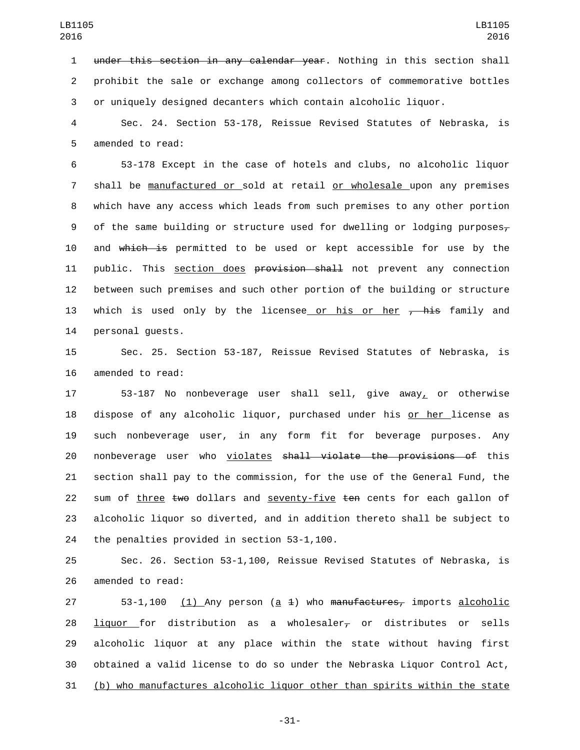1 under this section in any calendar year. Nothing in this section shall 2 prohibit the sale or exchange among collectors of commemorative bottles 3 or uniquely designed decanters which contain alcoholic liquor.

4 Sec. 24. Section 53-178, Reissue Revised Statutes of Nebraska, is 5 amended to read:

6 53-178 Except in the case of hotels and clubs, no alcoholic liquor 7 shall be manufactured or sold at retail or wholesale upon any premises 8 which have any access which leads from such premises to any other portion 9 of the same building or structure used for dwelling or lodging purposes $\tau$ 10 and which is permitted to be used or kept accessible for use by the 11 public. This section does provision shall not prevent any connection 12 between such premises and such other portion of the building or structure 13 which is used only by the licensee or his or her  $\frac{1}{2}$  family and 14 personal quests.

15 Sec. 25. Section 53-187, Reissue Revised Statutes of Nebraska, is 16 amended to read:

 53-187 No nonbeverage user shall sell, give away, or otherwise 18 dispose of any alcoholic liquor, purchased under his <u>or her l</u>icense as such nonbeverage user, in any form fit for beverage purposes. Any nonbeverage user who violates shall violate the provisions of this section shall pay to the commission, for the use of the General Fund, the 22 sum of three two dollars and seventy-five ten cents for each gallon of alcoholic liquor so diverted, and in addition thereto shall be subject to 24 the penalties provided in section 53-1,100.

25 Sec. 26. Section 53-1,100, Reissue Revised Statutes of Nebraska, is 26 amended to read:

 $53-1,100$  (1) Any person (a 4) who manufactures, imports alcoholic 28 liquor for distribution as a wholesaler<sub> $\tau$ </sub> or distributes or sells alcoholic liquor at any place within the state without having first obtained a valid license to do so under the Nebraska Liquor Control Act, (b) who manufactures alcoholic liquor other than spirits within the state

-31-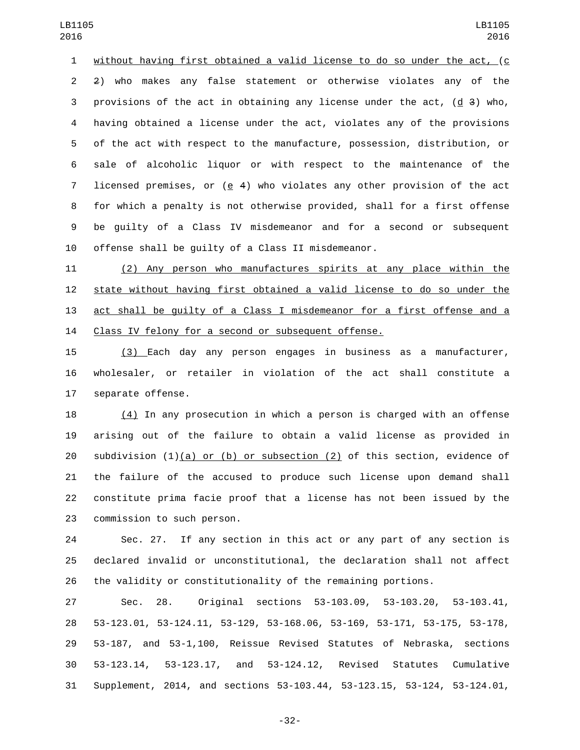without having first obtained a valid license to do so under the act, (c 2) who makes any false statement or otherwise violates any of the 3 provisions of the act in obtaining any license under the act,  $(d\ 3)$  who, having obtained a license under the act, violates any of the provisions of the act with respect to the manufacture, possession, distribution, or sale of alcoholic liquor or with respect to the maintenance of the licensed premises, or (e 4) who violates any other provision of the act for which a penalty is not otherwise provided, shall for a first offense be guilty of a Class IV misdemeanor and for a second or subsequent offense shall be guilty of a Class II misdemeanor.

 (2) Any person who manufactures spirits at any place within the state without having first obtained a valid license to do so under the act shall be guilty of a Class I misdemeanor for a first offense and a Class IV felony for a second or subsequent offense.

 (3) Each day any person engages in business as a manufacturer, wholesaler, or retailer in violation of the act shall constitute a 17 separate offense.

 (4) In any prosecution in which a person is charged with an offense arising out of the failure to obtain a valid license as provided in subdivision (1)(a) or (b) or subsection (2) of this section, evidence of the failure of the accused to produce such license upon demand shall constitute prima facie proof that a license has not been issued by the 23 commission to such person.

 Sec. 27. If any section in this act or any part of any section is declared invalid or unconstitutional, the declaration shall not affect the validity or constitutionality of the remaining portions.

 Sec. 28. Original sections 53-103.09, 53-103.20, 53-103.41, 53-123.01, 53-124.11, 53-129, 53-168.06, 53-169, 53-171, 53-175, 53-178, 53-187, and 53-1,100, Reissue Revised Statutes of Nebraska, sections 53-123.14, 53-123.17, and 53-124.12, Revised Statutes Cumulative Supplement, 2014, and sections 53-103.44, 53-123.15, 53-124, 53-124.01,

-32-